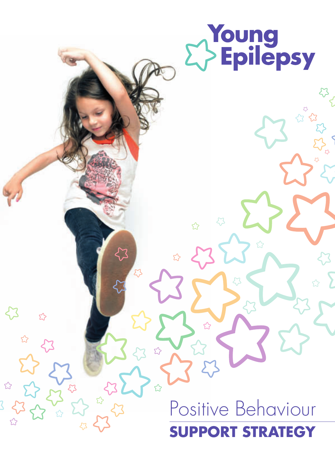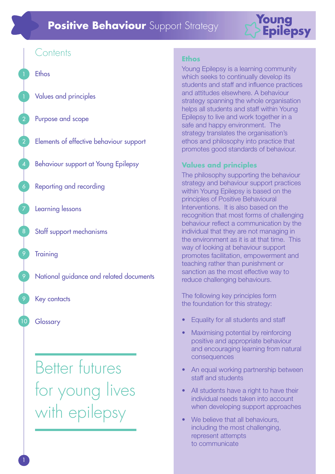# **Positive Behaviour** Support Strategy



# **Contents**

Ethos

2

2

4

6

7

8

9

9

9

10

Values and principles

Purpose and scope

Elements of effective behaviour support

Behaviour support at Young Epilepsy

Reporting and recording

Learning lessons

Staff support mechanisms

**Training** 

National guidance and related documents

Key contacts

#### **Glossary**

Better futures for young lives with epilepsy

#### **Ethos**

Young Epilepsy is a learning community which seeks to continually develop its students and staff and influence practices and attitudes elsewhere. A behaviour strategy spanning the whole organisation helps all students and staff within Young Epilepsy to live and work together in a safe and happy environment. The strategy translates the organisation's ethos and philosophy into practice that promotes good standards of behaviour.

#### **Values and principles**

The philosophy supporting the behaviour strategy and behaviour support practices within Young Epilepsy is based on the principles of Positive Behavioural Interventions. It is also based on the recognition that most forms of challenging behaviour reflect a communication by the individual that they are not managing in the environment as it is at that time. This way of looking at behaviour support promotes facilitation, empowerment and teaching rather than punishment or sanction as the most effective way to reduce challenging behaviours.

The following key principles form the foundation for this strategy:

- Equality for all students and staff
- Maximising potential by reinforcing positive and appropriate behaviour and encouraging learning from natural consequences
- An equal working partnership between staff and students
- All students have a right to have their individual needs taken into account when developing support approaches
- We believe that all behaviours, including the most challenging, represent attempts to communicate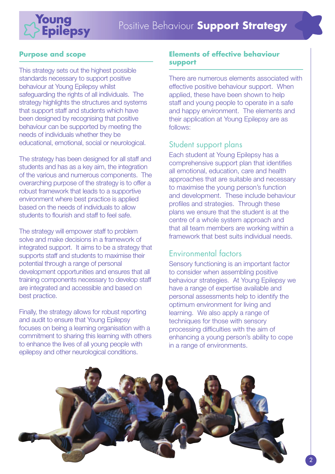

#### **Purpose and scope**

This strategy sets out the highest possible standards necessary to support positive behaviour at Young Epilepsy whilst safeguarding the rights of all individuals. The strategy highlights the structures and systems that support staff and students which have been designed by recognising that positive behaviour can be supported by meeting the needs of individuals whether they be educational, emotional, social or neurological.

The strategy has been designed for all staff and students and has as a key aim, the integration of the various and numerous components. The overarching purpose of the strategy is to offer a robust framework that leads to a supportive environment where best practice is applied based on the needs of individuals to allow students to flourish and staff to feel safe.

The strategy will empower staff to problem solve and make decisions in a framework of integrated support. It aims to be a strategy that supports staff and students to maximise their potential through a range of personal development opportunities and ensures that all training components necessary to develop staff are integrated and accessible and based on best practice.

Finally, the strategy allows for robust reporting and audit to ensure that Young Epilepsy focuses on being a learning organisation with a commitment to sharing this learning with others to enhance the lives of all young people with epilepsy and other neurological conditions.

#### **Elements of effective behaviour support**

There are numerous elements associated with effective positive behaviour support. When applied, these have been shown to help staff and young people to operate in a safe and happy environment. The elements and their application at Young Epilepsy are as follows:

# Student support plans

Each student at Young Epilepsy has a comprehensive support plan that identifies all emotional, education, care and health approaches that are suitable and necessary to maximise the young person's function and development. These include behaviour profiles and strategies. Through these plans we ensure that the student is at the centre of a whole system approach and that all team members are working within a framework that best suits individual needs.

# Environmental factors

Sensory functioning is an important factor to consider when assembling positive behaviour strategies. At Young Epilepsy we have a range of expertise available and personal assessments help to identify the optimum environment for living and learning. We also apply a range of techniques for those with sensory processing difficulties with the aim of enhancing a young person's ability to cope in a range of environments.

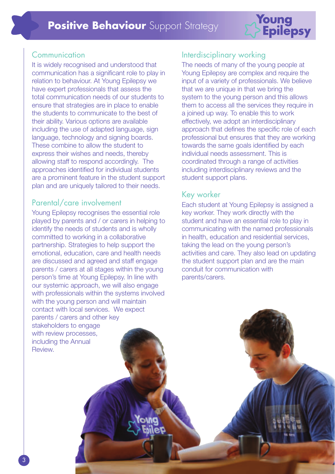

# Communication

It is widely recognised and understood that communication has a significant role to play in relation to behaviour. At Young Epilepsy we have expert professionals that assess the total communication needs of our students to ensure that strategies are in place to enable the students to communicate to the best of their ability. Various options are available including the use of adapted language, sign language, technology and signing boards. These combine to allow the student to express their wishes and needs, thereby allowing staff to respond accordingly. The approaches identified for individual students are a prominent feature in the student support plan and are uniquely tailored to their needs.

# Parental/care involvement

Young Epilepsy recognises the essential role played by parents and / or carers in helping to identify the needs of students and is wholly committed to working in a collaborative partnership. Strategies to help support the emotional, education, care and health needs are discussed and agreed and staff engage parents / carers at all stages within the young person's time at Young Epilepsy. In line with our systemic approach, we will also engage with professionals within the systems involved with the young person and will maintain contact with local services. We expect parents / carers and other key stakeholders to engage with review processes, including the Annual Review.

# Interdisciplinary working

The needs of many of the young people at Young Epilepsy are complex and require the input of a variety of professionals. We believe that we are unique in that we bring the system to the young person and this allows them to access all the services they require in a joined up way. To enable this to work effectively, we adopt an interdisciplinary approach that defines the specific role of each professional but ensures that they are working towards the same goals identified by each individual needs assessment. This is coordinated through a range of activities including interdisciplinary reviews and the student support plans.

# Key worker

Each student at Young Epilepsy is assigned a key worker. They work directly with the student and have an essential role to play in communicating with the named professionals in health, education and residential services, taking the lead on the young person's activities and care. They also lead on updating the student support plan and are the main conduit for communication with parents/carers.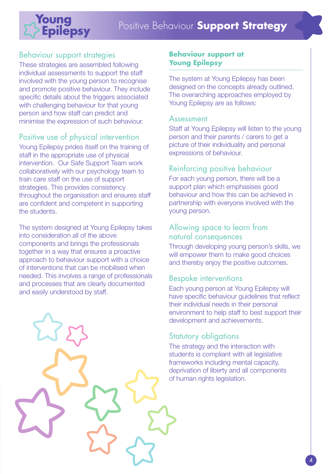# Positive Behaviour **Support Strategy**



# Behaviour support strategies

These strategies are assembled following individual assessments to support the staff involved with the young person to recognise and promote positive behaviour. They include specific details about the triggers associated with challenging behaviour for that young person and how staff can predict and minimise the expression of such behaviour.

# Positive use of physical intervention

Young Epilepsy prides itself on the training of staff in the appropriate use of physical intervention. Our Safe Support Team work collaboratively with our psychology team to train care staff on the use of support strategies. This provides consistency throughout the organisation and ensures staff are confident and competent in supporting the students.

The system designed at Young Epilepsy takes into consideration all of the above components and brings the professionals together in a way that ensures a proactive approach to behaviour support with a choice of interventions that can be mobilised when needed. This involves a range of professionals and processes that are clearly documented and easily understood by staff.



#### **Behaviour support at Young Epilepsy**

The system at Young Epilepsy has been designed on the concepts already outlined. The overarching approaches employed by Young Epilepsy are as follows:

#### Assessment

Staff at Young Epilepsy will listen to the young person and their parents / carers to get a picture of their individuality and personal expressions of behaviour.

### Reinforcing positive behaviour

For each young person, there will be a support plan which emphasises good behaviour and how this can be achieved in partnership with everyone involved with the young person.

### Allowing space to learn from natural consequences

Through developing young person's skills, we will empower them to make good choices and thereby enjoy the positive outcomes.

#### Bespoke interventions

Each young person at Young Epilepsy will have specific behaviour guidelines that reflect their individual needs in their personal environment to help staff to best support their development and achievements.

#### Statutory obligations

The strategy and the interaction with students is compliant with all legislative frameworks including mental capacity, deprivation of liberty and all components of human rights legislation.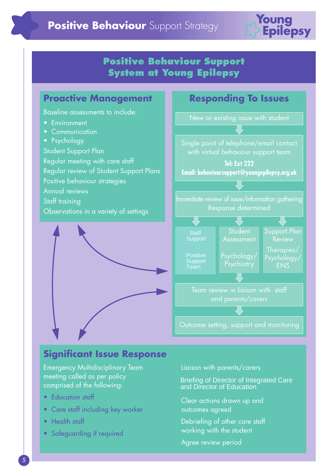

# **Positive Behaviour Support System at Young Epilepsy**



# **Significant Issue Response**

Emergency Multidisciplinary Team meeting called as per policy comprised of the following:

- Education staff
- Care staff including key worker
- Health staff
- Safeguarding if required

Liaison with parents/carers

Briefing of Director of Integrated Care and Director of Education

Clear actions drawn up and outcomes agreed

Debriefing of other care staff working with the student

Agree review period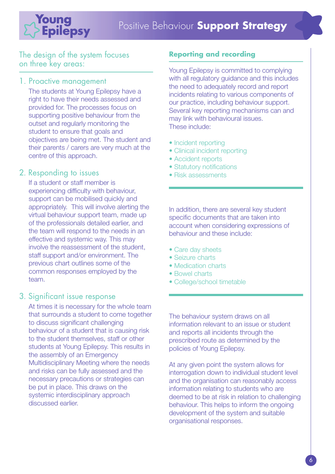

The design of the system focuses on three key areas:

#### 1. Proactive management

The students at Young Epilepsy have a right to have their needs assessed and provided for. The processes focus on supporting positive behaviour from the outset and regularly monitoring the student to ensure that goals and objectives are being met. The student and their parents / carers are very much at the centre of this approach.

# 2. Responding to issues

If a student or staff member is experiencing difficulty with behaviour, support can be mobilised quickly and appropriately. This will involve alerting the virtual behaviour support team, made up of the professionals detailed earlier, and the team will respond to the needs in an effective and systemic way. This may involve the reassessment of the student, staff support and/or environment. The previous chart outlines some of the common responses employed by the team.

# 3. Significant issue response

At times it is necessary for the whole team that surrounds a student to come together to discuss significant challenging behaviour of a student that is causing risk to the student themselves, staff or other students at Young Epilepsy. This results in the assembly of an Emergency Multidisciplinary Meeting where the needs and risks can be fully assessed and the necessary precautions or strategies can be put in place. This draws on the systemic interdisciplinary approach discussed earlier.

# **Reporting and recording**

Young Epilepsy is committed to complying with all regulatory guidance and this includes the need to adequately record and report incidents relating to various components of our practice, including behaviour support. Several key reporting mechanisms can and may link with behavioural issues. These include:

- Incident reporting
- Clinical incident reporting
- Accident reports
- Statutory notifications
- Risk assessments

In addition, there are several key student specific documents that are taken into account when considering expressions of behaviour and these include:

- Care day sheets
- Seizure charts
- Medication charts
- Bowel charts
- College/school timetable

The behaviour system draws on all information relevant to an issue or student and reports all incidents through the prescribed route as determined by the policies of Young Epilepsy.

At any given point the system allows for interrogation down to individual student level and the organisation can reasonably access information relating to students who are deemed to be at risk in relation to challenging behaviour. This helps to inform the ongoing development of the system and suitable organisational responses.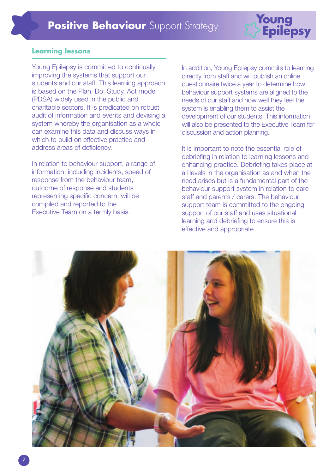

#### **Learning lessons**

Young Epilepsy is committed to continually improving the systems that support our students and our staff. This learning approach is based on the Plan, Do, Study, Act model (PDSA) widely used in the public and charitable sectors. It is predicated on robust audit of information and events and devising a system whereby the organisation as a whole can examine this data and discuss ways in which to build on effective practice and address areas of deficiency.

In relation to behaviour support, a range of information, including incidents, speed of response from the behaviour team, outcome of response and students representing specific concern, will be compiled and reported to the Executive Team on a termly basis.

In addition, Young Epilepsy commits to learning directly from staff and will publish an online questionnaire twice a year to determine how behaviour support systems are aligned to the needs of our staff and how well they feel the system is enabling them to assist the development of our students. This information will also be presented to the Executive Team for discussion and action planning.

It is important to note the essential role of debriefing in relation to learning lessons and enhancing practice. Debriefing takes place at all levels in the organisation as and when the need arises but is a fundamental part of the behaviour support system in relation to care staff and parents / carers. The behaviour support team is committed to the ongoing support of our staff and uses situational learning and debriefing to ensure this is effective and appropriate

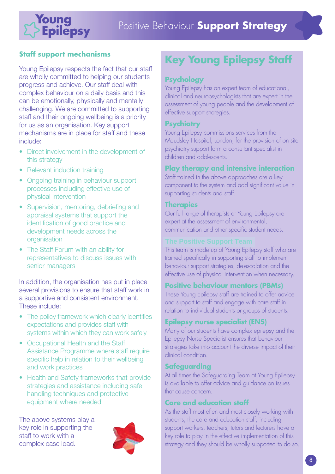

# **Staff support mechanisms**

Young Epilepsy respects the fact that our staff are wholly committed to helping our students progress and achieve. Our staff deal with complex behaviour on a daily basis and this can be emotionally, physically and mentally challenging. We are committed to supporting staff and their ongoing wellbeing is a priority for us as an organisation. Key support mechanisms are in place for staff and these include:

- Direct involvement in the development of this strategy
- Relevant induction training
- Ongoing training in behaviour support processes including effective use of physical intervention
- Supervision, mentoring, debriefing and appraisal systems that support the identification of good practice and development needs across the organisation
- The Staff Forum with an ability for representatives to discuss issues with senior managers

In addition, the organisation has put in place several provisions to ensure that staff work in a supportive and consistent environment. These include:

- The policy framework which clearly identifies expectations and provides staff with systems within which they can work safely
- Occupational Health and the Staff Assistance Programme where staff require specific help in relation to their wellbeing and work practices
- Health and Safety frameworks that provide strategies and assistance including safe handling techniques and protective equipment where needed

The above systems play a key role in supporting the staff to work with a complex case load.



# **Key Young Epilepsy Staff**

### **Psychology**

Young Epilepsy has an expert team of educational, clinical and neuropsychologists that are expert in the assessment of young people and the development of effective support strategies.

#### **Psychiatry**

Young Epilepsy commissions services from the Maudsley Hospital, London, for the provision of on site psychiatry support form a consultant specialist in children and adolescents.

#### **Play therapy and intensive interaction**

Staff trained in the above approaches are a key component to the system and add significant value in supporting students and staff.

#### **Therapies**

Our full range of therapists at Young Epilepsy are expert at the assessment of environmental, communication and other specific student needs.

This team is made up of Young Epilepsy staff who are trained specifically in supporting staff to implement behaviour support strategies, de-escalation and the effective use of physical intervention when necessary.

#### **Positive behaviour mentors (PBMs)**

These Young Epilepsy staff are trained to offer advice and support to staff and engage with care staff in relation to individual students or groups of students.

# **Epilepsy nurse specialist (ENS)**

Many of our students have complex epilepsy and the Epilepsy Nurse Specialist ensures that behaviour strategies take into account the diverse impact of their clinical condition.

#### **Safeguarding**

At all times the Safeguarding Team at Young Epilepsy is available to offer advice and guidance on issues that cause concern.

#### **Care and education staff**

As the staff most often and most closely working with students, the care and education staff, including support workers, teachers, tutors and lecturers have a key role to play in the effective implementation of this strategy and they should be wholly supported to do so.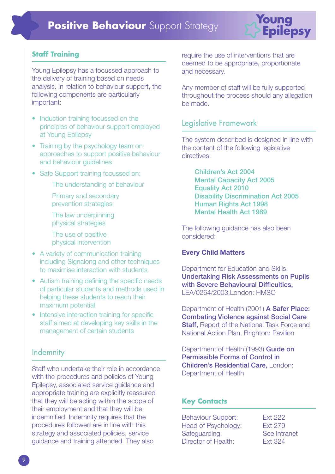

#### **Staff Training**

Young Epilepsy has a focussed approach to the delivery of training based on needs analysis. In relation to behaviour support, the following components are particularly important:

- Induction training focussed on the principles of behaviour support employed at Young Epilepsy
- Training by the psychology team on approaches to support positive behaviour and behaviour guidelines
- Safe Support training focussed on:

The understanding of behaviour

- Primary and secondary prevention strategies
- The law underpinning physical strategies

The use of positive physical intervention

- A variety of communication training including Signalong and other techniques to maximise interaction with students
- Autism training defining the specific needs of particular students and methods used in helping these students to reach their maximum potential
- Intensive interaction training for specific staff aimed at developing key skills in the management of certain students

#### **Indemnity**

Staff who undertake their role in accordance with the procedures and policies of Young Epilepsy, associated service guidance and appropriate training are explicitly reassured that they will be acting within the scope of their employment and that they will be indemnified. Indemnity requires that the procedures followed are in line with this strategy and associated policies, service guidance and training attended. They also

require the use of interventions that are deemed to be appropriate, proportionate and necessary.

Any member of staff will be fully supported throughout the process should any allegation be made.

### Legislative Framework

The system described is designed in line with the content of the following legislative directives:

**Children's Act 2004 Mental Capacity Act 2005 Equality Act 2010 Disability Discrimination Act 2005 Human Rights Act 1998 Mental Health Act 1989** 

The following guidance has also been considered:

#### **Every Child Matters**

Department for Education and Skills, **Undertaking Risk Assessments on Pupils with Severe Behavioural Difficulties,** LEA/0264/2003,London: HMSO

Department of Health (2001) **A Safer Place: Combating Violence against Social Care Staff,** Report of the National Task Force and National Action Plan, Brighton: Pavilion

Department of Health (1993) **Guide on Permissible Forms of Control in Children's Residential Care,** London: Department of Health

#### **Key Contacts**

Behaviour Support: Ext 222 Head of Psychology: Ext 279 Safeguarding: See Intranet Director of Health: Ext 324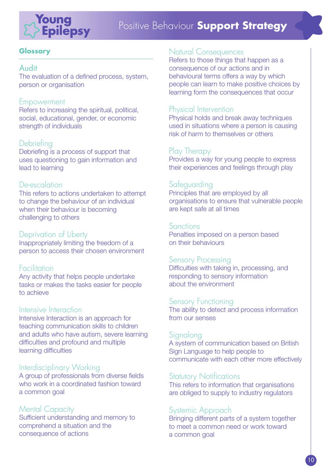

# Positive Behaviour **Support Strategy**

#### **Glossary**

#### Audit

The evaluation of a defined process, system, person or organisation

#### Empowerment

Refers to increasing the spiritual, political, social, educational, gender, or economic strength of individuals

### **Debriefing**

Debriefing is a process of support that uses questioning to gain information and lead to learning

# De-escalation

This refers to actions undertaken to attempt to change the behaviour of an individual when their behaviour is becoming challenging to others

# Deprivation of Liberty

Inappropriately limiting the freedom of a person to access their chosen environment

#### Facilitation

Any activity that helps people undertake tasks or makes the tasks easier for people to achieve

#### Intensive Interaction

Intensive Interaction is an approach for teaching communication skills to children and adults who have autism, severe learning difficulties and profound and multiple learning difficulties

# Interdisciplinary Working

A group of professionals from diverse fields who work in a coordinated fashion toward a common goal

#### Mental Capacity

Sufficient understanding and memory to comprehend a situation and the consequence of actions

#### Natural Consequences

Refers to those things that happen as a consequence of our actions and in behavioural terms offers a way by which people can learn to make positive choices by learning form the consequences that occur

# Physical Intervention

Physical holds and break away techniques used in situations where a person is causing risk of harm to themselves or others

# Play Therapy

Provides a way for young people to express their experiences and feelings through play

# Safeguarding

Principles that are employed by all organisations to ensure that vulnerable people are kept safe at all times

#### Sanctions

Penalties imposed on a person based on their behaviours

#### Sensory Processing

Difficulties with taking in, processing, and responding to sensory information about the environment

# Sensory Functioning

The ability to detect and process information from our senses

#### Signalong

A system of communication based on British Sign Language to help people to communicate with each other more effectively

#### **Statutory Notifications**

This refers to information that organisations are obliged to supply to industry regulators

# Systemic Approach

Bringing different parts of a system together to meet a common need or work toward a common goal